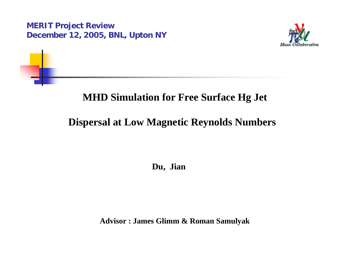

### **MHD Simulation for Free Surface Hg Jet**

## **Dispersal at Low Magnetic Reynolds Numbers**

**Du, Jian**

**Advisor : James Glimm & Roman Samulyak**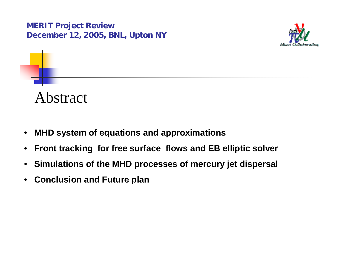

# Abstract

- $\bullet$ **MHD system of equations and approximations**
- $\bullet$ **Front tracking for free surface flows and EB elliptic solver**
- $\bullet$ **Simulations of the MHD processes of mercury jet dispersal**
- **Conclusion and Future plan**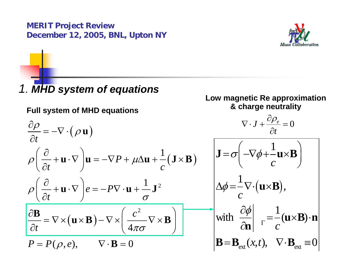

## *1. MHD system of equations*

#### **Full system of MHD equations**

#### **Low magnetic Re approximation & charge neutrality**

 $\partial$ 

$$
\frac{\partial \rho}{\partial t} = -\nabla \cdot (\rho \mathbf{u}) \qquad \nabla \cdot J + \frac{\partial \rho_e}{\partial t} = 0
$$
\n
$$
\rho \left( \frac{\partial}{\partial t} + \mathbf{u} \cdot \nabla \right) \mathbf{u} = -\nabla P + \mu \Delta \mathbf{u} + \frac{1}{c} (\mathbf{J} \times \mathbf{B}) \qquad \mathbf{J} = \sigma \left( -\nabla \phi + \frac{1}{c} \mathbf{u} \times \mathbf{B} \right)
$$
\n
$$
\rho \left( \frac{\partial}{\partial t} + \mathbf{u} \cdot \nabla \right) e = -P \nabla \cdot \mathbf{u} + \frac{1}{\sigma} \mathbf{J}^2 \qquad \Delta \phi = \frac{1}{c} \nabla \cdot (\mathbf{u} \times \mathbf{B}),
$$
\n
$$
\frac{\partial \mathbf{B}}{\partial t} = \nabla \times (\mathbf{u} \times \mathbf{B}) - \nabla \times \left( \frac{c^2}{4\pi \sigma} \nabla \times \mathbf{B} \right) \qquad \text{with} \quad \frac{\partial \phi}{\partial \mathbf{n}} \Big|_{\Gamma} = \frac{1}{c} (\mathbf{u} \times \mathbf{B}) \cdot \mathbf{n}
$$
\n
$$
P = P(\rho, e), \qquad \nabla \cdot \mathbf{B} = 0 \qquad \qquad \mathbf{B} = \mathbf{B}_{\text{ext}}(x, t), \quad \nabla \cdot \mathbf{B}_{\text{ext}} = 0
$$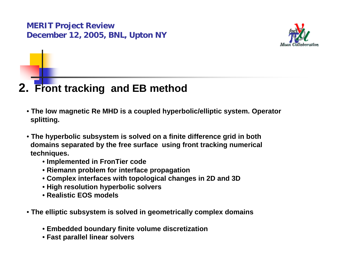

## **2. Front tracking and EB method**

- **The low magnetic Re MHD is a coupled hyperbolic/elliptic system. Operator splitting.**
- **The hyperbolic subsystem is solved on a finite difference grid in both domains separated by the free surface using front tracking numerical techniques.** 
	- **Implemented in FronTier code**
	- **Riemann problem for interface propagation**
	- **Complex interfaces with topological changes in 2D and 3D**
	- **High resolution hyperbolic solvers**
	- **Realistic EOS models**
- **The elliptic subsystem is solved in geometrically complex domains**
	- **Embedded boundary finite volume discretization**
	- **Fast parallel linear solvers**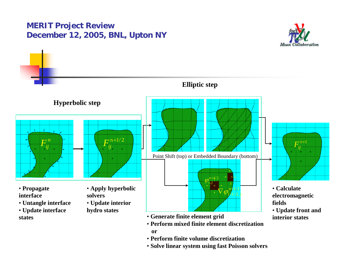



• **Solve linear system using fast Poisson solvers**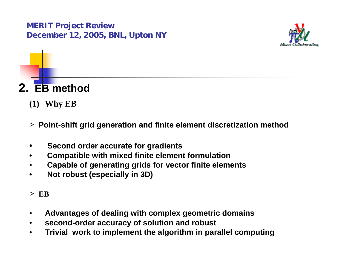

# **2. EB method**

- **(1) Why EB**
- **<sup>&</sup>gt;Point-shift grid generation and finite element discretization method**
- $\bullet$ **Second order accurate for gradients**
- •**Compatible with mixed finite element formulation**
- •**Capable of generating grids for vector finite elements**
- •**Not robust (especially in 3D)**
- **> EB**
- $\bullet$ **Advantages of dealing with complex geometric domains**
- $\bullet$ **second-order accuracy of solution and robust**
- $\bullet$ **Trivial work to implement the algorithm in parallel computing**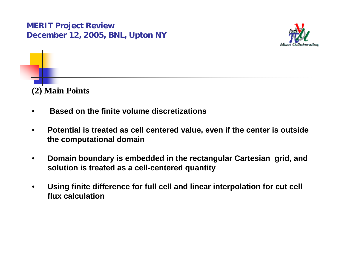

**(2) Main Points**

- •**Based on the finite volume discretizations**
- • **Potential is treated as cell centered value, even if the center is outside the computational domain**
- • **Domain boundary is embedded in the rectangular Cartesian grid, and solution is treated as a cell-centered quantity**
- • **Using finite difference for full cell and linear interpolation for cut cell flux calculation**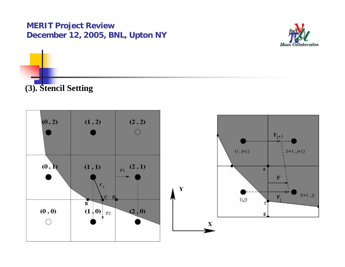

**(3). Stencil Setting**

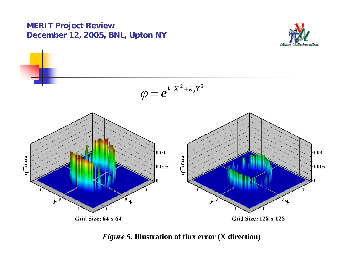



*Figure 5***. Illustration of flux error (X direction)**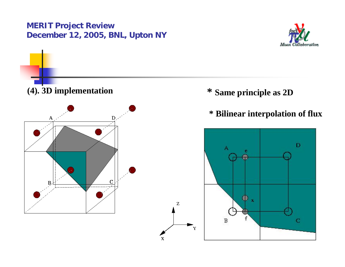



x

- **\* Same principle as 2D**
- **\* Bilinear interpolation of flux**

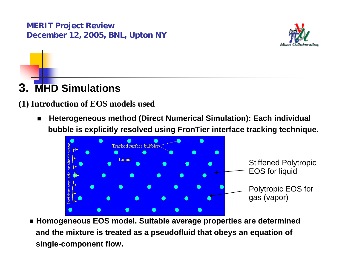

# **3. MHD Simulations**

#### **(1) Introduction of EOS models used**

 $\blacksquare$  **Heterogeneous method (Direct Numerical Simulation): Each individual bubble is explicitly resolved using FronTier interface tracking technique.**



 **Homogeneous EOS model. Suitable average properties are determined and the mixture is treated as a pseudofluid that obeys an equation of single-component flow.**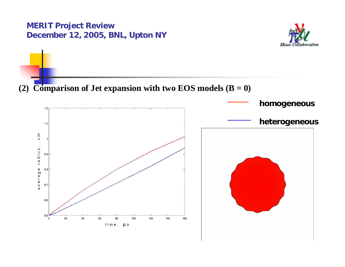

**(2) Comparison of Jet expansion with two EOS models**  $(B = 0)$ 

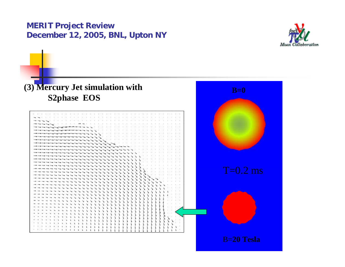

# T : 000  ${\rm T}{=}0.2~{\rm ms}$ B=**20 Tesla B=0** *Figure 6***. Simulation of mercury jet expansion (3) Mercury Jet simulation with S2phase EOS**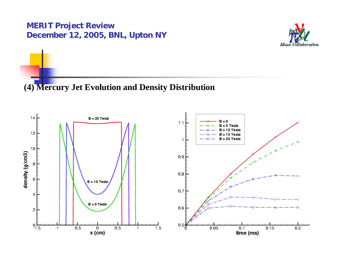

#### **(4) Mercury Jet Evolution and Density Distribution**